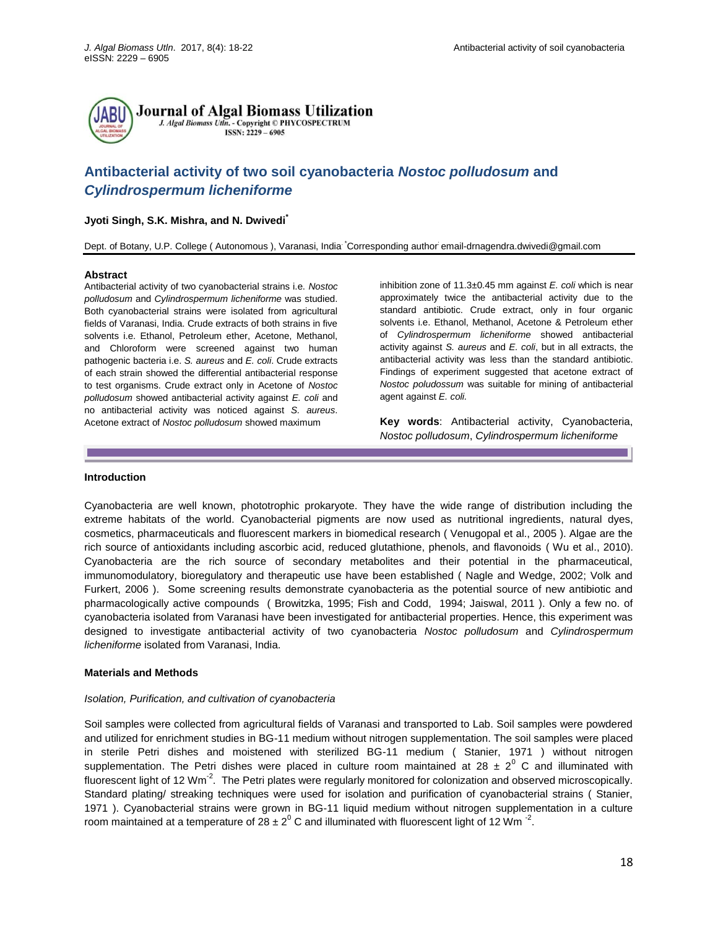

# **Antibacterial activity of two soil cyanobacteria** *Nostoc polludosum* **and**  *Cylindrospermum licheniforme*

# **Jyoti Singh, S.K. Mishra, and N. Dwivedi\***

Dept. of Botany, U.P. College ( Autonomous ), Varanasi, India. \*Corresponding author: [email-drnagendra.dwivedi@gmail.com](mailto:email-drnagendra.dwivedi@gmail.com)

#### **Abstract**

Antibacterial activity of two cyanobacterial strains i.e. *Nostoc polludosum* and *Cylindrospermum licheniforme* was studied. Both cyanobacterial strains were isolated from agricultural fields of Varanasi, India. Crude extracts of both strains in five solvents i.e. Ethanol, Petroleum ether, Acetone, Methanol, and Chloroform were screened against two human pathogenic bacteria i.e. *S. aureus* and *E. coli*. Crude extracts of each strain showed the differential antibacterial response to test organisms. Crude extract only in Acetone of *Nostoc polludosum* showed antibacterial activity against *E. coli* and no antibacterial activity was noticed against *S. aureus*. Acetone extract of *Nostoc polludosum* showed maximum

inhibition zone of 11.3±0.45 mm against *E. coli* which is near approximately twice the antibacterial activity due to the standard antibiotic. Crude extract, only in four organic solvents i.e. Ethanol, Methanol, Acetone & Petroleum ether of *Cylindrospermum licheniforme* showed antibacterial activity against *S. aureus* and *E. coli*, but in all extracts, the antibacterial activity was less than the standard antibiotic. Findings of experiment suggested that acetone extract of *Nostoc poludossum* was suitable for mining of antibacterial agent against *E. coli.*

**Key words**: Antibacterial activity, Cyanobacteria, *Nostoc polludosum*, *Cylindrospermum licheniforme*

### **Introduction**

Cyanobacteria are well known, phototrophic prokaryote. They have the wide range of distribution including the extreme habitats of the world. Cyanobacterial pigments are now used as nutritional ingredients, natural dyes, cosmetics, pharmaceuticals and fluorescent markers in biomedical research ( Venugopal et al., 2005 ). Algae are the rich source of antioxidants including ascorbic acid, reduced glutathione, phenols, and flavonoids ( Wu et al., 2010). Cyanobacteria are the rich source of secondary metabolites and their potential in the pharmaceutical, immunomodulatory, bioregulatory and therapeutic use have been established ( Nagle and Wedge, 2002; Volk and Furkert, 2006 ). Some screening results demonstrate cyanobacteria as the potential source of new antibiotic and pharmacologically active compounds ( Browitzka, 1995; Fish and Codd, 1994; Jaiswal, 2011 ). Only a few no. of cyanobacteria isolated from Varanasi have been investigated for antibacterial properties. Hence, this experiment was designed to investigate antibacterial activity of two cyanobacteria *Nostoc polludosum* and *Cylindrospermum licheniforme* isolated from Varanasi, India.

### **Materials and Methods**

### *Isolation, Purification, and cultivation of cyanobacteria*

Soil samples were collected from agricultural fields of Varanasi and transported to Lab. Soil samples were powdered and utilized for enrichment studies in BG-11 medium without nitrogen supplementation. The soil samples were placed in sterile Petri dishes and moistened with sterilized BG-11 medium ( Stanier, 1971 ) without nitrogen supplementation. The Petri dishes were placed in culture room maintained at  $28 \pm 2^0$  C and illuminated with fluorescent light of 12 Wm<sup>-2</sup>. The Petri plates were regularly monitored for colonization and observed microscopically. Standard plating/ streaking techniques were used for isolation and purification of cyanobacterial strains ( Stanier, 1971 ). Cyanobacterial strains were grown in BG-11 liquid medium without nitrogen supplementation in a culture room maintained at a temperature of 28  $\pm 2^0$  C and illuminated with fluorescent light of 12 Wm  $^{-2}$ .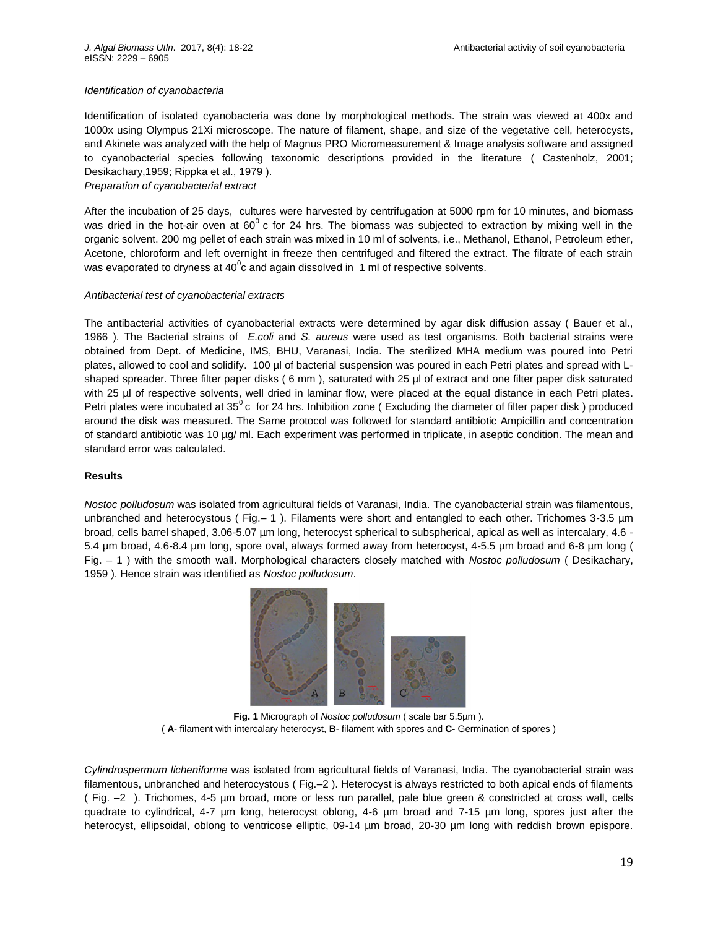## *Identification of cyanobacteria*

Identification of isolated cyanobacteria was done by morphological methods. The strain was viewed at 400x and 1000x using Olympus 21Xi microscope. The nature of filament, shape, and size of the vegetative cell, heterocysts, and Akinete was analyzed with the help of Magnus PRO Micromeasurement & Image analysis software and assigned to cyanobacterial species following taxonomic descriptions provided in the literature ( Castenholz, 2001; Desikachary,1959; Rippka et al., 1979 ).

# *Preparation of cyanobacterial extract*

After the incubation of 25 days, cultures were harvested by centrifugation at 5000 rpm for 10 minutes, and biomass was dried in the hot-air oven at  $60^{\circ}$  c for 24 hrs. The biomass was subjected to extraction by mixing well in the organic solvent. 200 mg pellet of each strain was mixed in 10 ml of solvents, i.e., Methanol, Ethanol, Petroleum ether, Acetone, chloroform and left overnight in freeze then centrifuged and filtered the extract. The filtrate of each strain was evaporated to dryness at 40 $^0$ c and again dissolved in 1 ml of respective solvents.

## *Antibacterial test of cyanobacterial extracts*

The antibacterial activities of cyanobacterial extracts were determined by agar disk diffusion assay ( Bauer et al., 1966 ). The Bacterial strains of *E.coli* and *S. aureus* were used as test organisms. Both bacterial strains were obtained from Dept. of Medicine, IMS, BHU, Varanasi, India. The sterilized MHA medium was poured into Petri plates, allowed to cool and solidify. 100 µl of bacterial suspension was poured in each Petri plates and spread with Lshaped spreader. Three filter paper disks (6 mm), saturated with 25 µl of extract and one filter paper disk saturated with 25 µl of respective solvents, well dried in laminar flow, were placed at the equal distance in each Petri plates. Petri plates were incubated at  $35^0$  c for 24 hrs. Inhibition zone (Excluding the diameter of filter paper disk) produced around the disk was measured. The Same protocol was followed for standard antibiotic Ampicillin and concentration of standard antibiotic was 10 µg/ ml. Each experiment was performed in triplicate, in aseptic condition. The mean and standard error was calculated.

### **Results**

*Nostoc polludosum* was isolated from agricultural fields of Varanasi, India. The cyanobacterial strain was filamentous, unbranched and heterocystous ( Fig.– 1 ). Filaments were short and entangled to each other. Trichomes 3-3.5 µm broad, cells barrel shaped, 3.06-5.07 µm long, heterocyst spherical to subspherical, apical as well as intercalary, 4.6 - 5.4 µm broad, 4.6-8.4 µm long, spore oval, always formed away from heterocyst, 4-5.5 µm broad and 6-8 µm long ( Fig. – 1 ) with the smooth wall. Morphological characters closely matched with *Nostoc polludosum* ( Desikachary, 1959 ). Hence strain was identified as *Nostoc polludosum*.



**Fig. 1** Micrograph of *Nostoc polludosum* ( scale bar 5.5µm ). ( **A**- filament with intercalary heterocyst, **B**- filament with spores and **C-** Germination of spores )

*Cylindrospermum licheniforme* was isolated from agricultural fields of Varanasi, India. The cyanobacterial strain was filamentous, unbranched and heterocystous ( Fig.–2 ). Heterocyst is always restricted to both apical ends of filaments ( Fig. –2 ). Trichomes, 4-5 µm broad, more or less run parallel, pale blue green & constricted at cross wall, cells quadrate to cylindrical, 4-7 µm long, heterocyst oblong, 4-6 µm broad and 7-15 µm long, spores just after the heterocyst, ellipsoidal, oblong to ventricose elliptic, 09-14 µm broad, 20-30 µm long with reddish brown epispore.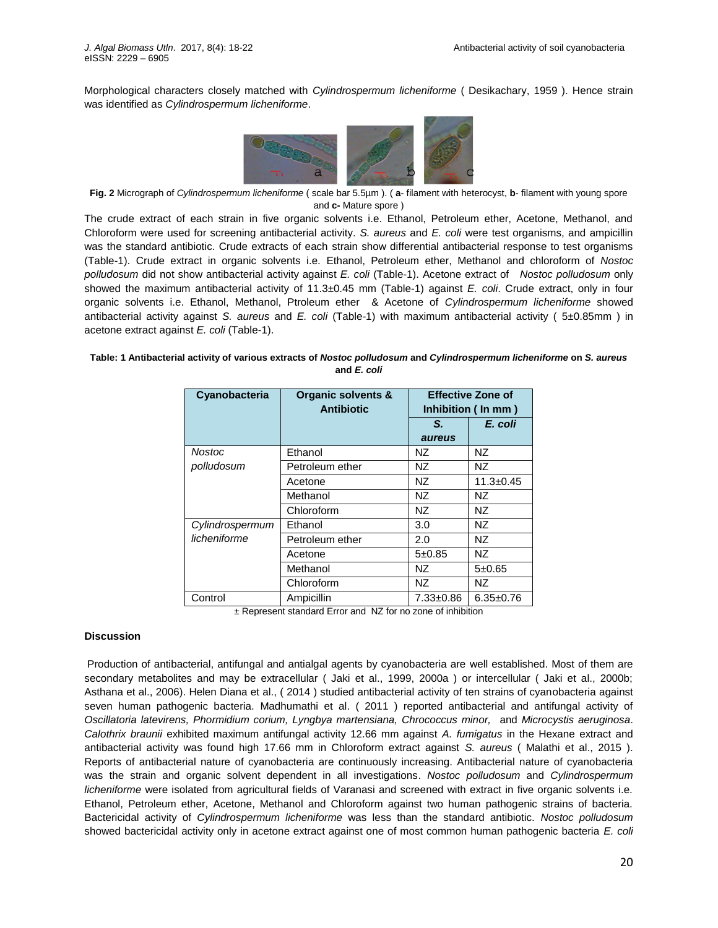Morphological characters closely matched with *Cylindrospermum licheniforme* ( Desikachary, 1959 ). Hence strain was identified as *Cylindrospermum licheniforme*.



**Fig. 2** Micrograph of *Cylindrospermum licheniforme* ( scale bar 5.5µm ). ( **a**- filament with heterocyst, **b**- filament with young spore and **c-** Mature spore )

The crude extract of each strain in five organic solvents i.e. Ethanol, Petroleum ether, Acetone, Methanol, and Chloroform were used for screening antibacterial activity. *S. aureus* and *E. coli* were test organisms, and ampicillin was the standard antibiotic. Crude extracts of each strain show differential antibacterial response to test organisms (Table-1). Crude extract in organic solvents i.e. Ethanol, Petroleum ether, Methanol and chloroform of *Nostoc polludosum* did not show antibacterial activity against *E. coli* (Table-1). Acetone extract of *Nostoc polludosum* only showed the maximum antibacterial activity of 11.3±0.45 mm (Table-1) against *E. coli*. Crude extract, only in four organic solvents i.e. Ethanol, Methanol, Ptroleum ether & Acetone of *Cylindrospermum licheniforme* showed antibacterial activity against *S. aureus* and *E. coli* (Table-1) with maximum antibacterial activity ( 5±0.85mm ) in acetone extract against *E. coli* (Table-1).

## **Table: 1 Antibacterial activity of various extracts of** *Nostoc polludosum* **and** *Cylindrospermum licheniforme* **on** *S. aureus* **and** *E. coli*

| Cyanobacteria   | Organic solvents &<br><b>Antibiotic</b> | <b>Effective Zone of</b><br>Inhibition (In mm) |                 |
|-----------------|-----------------------------------------|------------------------------------------------|-----------------|
|                 |                                         | S.                                             | E. coli         |
|                 |                                         | aureus                                         |                 |
| <b>Nostoc</b>   | Ethanol                                 | NZ.                                            | NZ.             |
| polludosum      | Petroleum ether                         | NZ.                                            | NZ              |
|                 | Acetone                                 | NZ                                             | $11.3 \pm 0.45$ |
|                 | Methanol                                | NZ.                                            | NZ.             |
|                 | Chloroform                              | NZ                                             | <b>NZ</b>       |
| Cylindrospermum | Ethanol                                 | 3.0                                            | NZ              |
| licheniforme    | Petroleum ether                         | 2.0                                            | NZ.             |
|                 | Acetone                                 | 5±0.85                                         | NZ              |
|                 | Methanol                                | NZ.                                            | 5±0.65          |
|                 | Chloroform                              | NZ                                             | NZ              |
| Control         | Ampicillin                              | $7.33 \pm 0.86$                                | $6.35 \pm 0.76$ |

± Represent standard Error and NZ for no zone of inhibition

# **Discussion**

Production of antibacterial, antifungal and antialgal agents by cyanobacteria are well established. Most of them are secondary metabolites and may be extracellular ( Jaki et al., 1999, 2000a ) or intercellular ( Jaki et al., 2000b; Asthana et al., 2006). Helen Diana et al., ( 2014 ) studied antibacterial activity of ten strains of cyanobacteria against seven human pathogenic bacteria. Madhumathi et al. ( 2011 ) reported antibacterial and antifungal activity of *Oscillatoria latevirens, Phormidium corium, Lyngbya martensiana, Chrococcus minor,* and *Microcystis aeruginosa*. *Calothrix braunii* exhibited maximum antifungal activity 12.66 mm against *A. fumigatus* in the Hexane extract and antibacterial activity was found high 17.66 mm in Chloroform extract against *S. aureus* ( Malathi et al., 2015 ). Reports of antibacterial nature of cyanobacteria are continuously increasing. Antibacterial nature of cyanobacteria was the strain and organic solvent dependent in all investigations. *Nostoc polludosum* and *Cylindrospermum licheniforme* were isolated from agricultural fields of Varanasi and screened with extract in five organic solvents i.e. Ethanol, Petroleum ether, Acetone, Methanol and Chloroform against two human pathogenic strains of bacteria. Bactericidal activity of *Cylindrospermum licheniforme* was less than the standard antibiotic. *Nostoc polludosum* showed bactericidal activity only in acetone extract against one of most common human pathogenic bacteria *E. coli*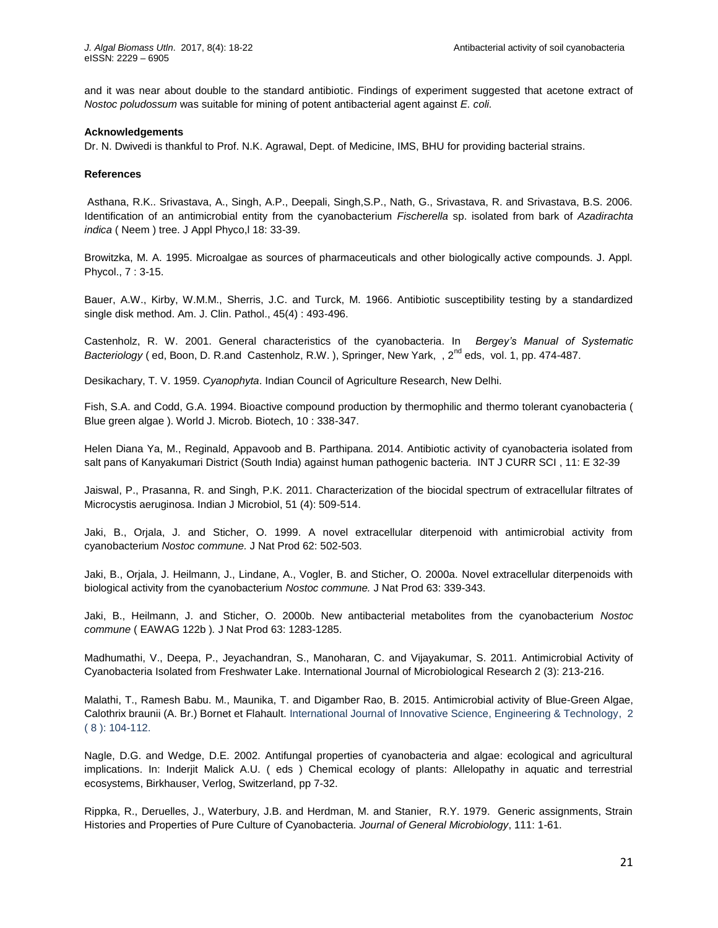and it was near about double to the standard antibiotic. Findings of experiment suggested that acetone extract of *Nostoc poludossum* was suitable for mining of potent antibacterial agent against *E. coli.*

## **Acknowledgements**

Dr. N. Dwivedi is thankful to Prof. N.K. Agrawal, Dept. of Medicine, IMS, BHU for providing bacterial strains.

## **References**

Asthana, R.K.. Srivastava, A., Singh, A.P., Deepali, Singh,S.P., Nath, G., Srivastava, R. and Srivastava, B.S. 2006. Identification of an antimicrobial entity from the cyanobacterium *Fischerella* sp. isolated from bark of *Azadirachta indica* ( Neem ) tree. J Appl Phyco,l 18: 33-39.

Browitzka, M. A. 1995. Microalgae as sources of pharmaceuticals and other biologically active compounds. J. Appl. Phycol., 7 : 3-15.

Bauer, A.W., Kirby, W.M.M., Sherris, J.C. and Turck, M. 1966. Antibiotic susceptibility testing by a standardized single disk method. Am. J. Clin. Pathol., 45(4) : 493-496.

Castenholz, R. W. 2001. General characteristics of the cyanobacteria. In *Bergey's Manual of Systematic Bacteriology* (ed, Boon, D. R.and Castenholz, R.W.), Springer, New Yark, , 2<sup>nd</sup> eds, vol. 1, pp. 474-487.

Desikachary, T. V. 1959. *Cyanophyta*. Indian Council of Agriculture Research, New Delhi.

Fish, S.A. and Codd, G.A. 1994. Bioactive compound production by thermophilic and thermo tolerant cyanobacteria ( Blue green algae ). World J. Microb. Biotech, 10 : 338-347.

Helen Diana Ya, M., Reginald, Appavoob and B. Parthipana. 2014. Antibiotic activity of cyanobacteria isolated from salt pans of Kanyakumari District (South India) against human pathogenic bacteria. INT J CURR SCI , 11: E 32-39

Jaiswal, P., Prasanna, R. and Singh, P.K. 2011. Characterization of the biocidal spectrum of extracellular filtrates of Microcystis aeruginosa. Indian J Microbiol, 51 (4): 509-514.

Jaki, B., Orjala, J. and Sticher, O. 1999. A novel extracellular diterpenoid with antimicrobial activity from cyanobacterium *Nostoc commune.* J Nat Prod 62: 502-503.

Jaki, B., Orjala, J. Heilmann, J., Lindane, A., Vogler, B. and Sticher, O. 2000a. Novel extracellular diterpenoids with biological activity from the cyanobacterium *Nostoc commune.* J Nat Prod 63: 339-343.

Jaki, B., Heilmann, J. and Sticher, O. 2000b. New antibacterial metabolites from the cyanobacterium *Nostoc commune* ( EAWAG 122b )*.* J Nat Prod 63: 1283-1285.

Madhumathi, V., Deepa, P., Jeyachandran, S., Manoharan, C. and Vijayakumar, S. 2011. Antimicrobial Activity of Cyanobacteria Isolated from Freshwater Lake. International Journal of Microbiological Research 2 (3): 213-216.

Malathi, T., Ramesh Babu. M., Maunika, T. and Digamber Rao, B. 2015. Antimicrobial activity of Blue-Green Algae, Calothrix braunii (A. Br.) Bornet et Flahault. International Journal of Innovative Science, Engineering & Technology, 2 ( 8 ): 104-112.

Nagle, D.G. and Wedge, D.E. 2002. Antifungal properties of cyanobacteria and algae: ecological and agricultural implications. In: Inderjit Malick A.U. ( eds ) Chemical ecology of plants: Allelopathy in aquatic and terrestrial ecosystems, Birkhauser, Verlog, Switzerland, pp 7-32.

Rippka, R., Deruelles, J., Waterbury, J.B. and Herdman, M. and Stanier, R.Y. 1979. Generic assignments, Strain Histories and Properties of Pure Culture of Cyanobacteria. *Journal of General Microbiology*, 111: 1-61.